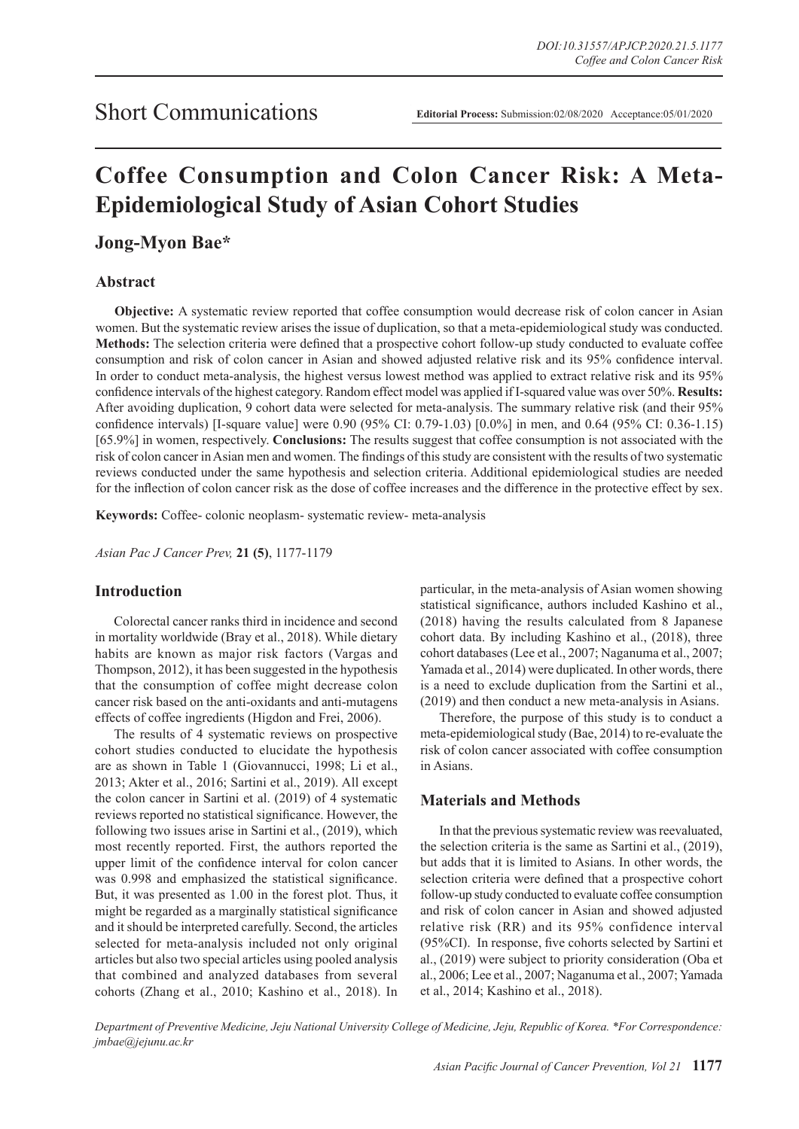# **Coffee Consumption and Colon Cancer Risk: A Meta-Epidemiological Study of Asian Cohort Studies**

**Jong-Myon Bae\***

#### **Abstract**

**Objective:** A systematic review reported that coffee consumption would decrease risk of colon cancer in Asian women. But the systematic review arises the issue of duplication, so that a meta-epidemiological study was conducted. **Methods:** The selection criteria were defined that a prospective cohort follow-up study conducted to evaluate coffee consumption and risk of colon cancer in Asian and showed adjusted relative risk and its 95% confidence interval. In order to conduct meta-analysis, the highest versus lowest method was applied to extract relative risk and its 95% confidence intervals of the highest category. Random effect model was applied if I-squared value was over 50%. **Results:**  After avoiding duplication, 9 cohort data were selected for meta-analysis. The summary relative risk (and their 95% confidence intervals) [I-square value] were 0.90 (95% CI: 0.79-1.03) [0.0%] in men, and 0.64 (95% CI: 0.36-1.15) [65.9%] in women, respectively. **Conclusions:** The results suggest that coffee consumption is not associated with the risk of colon cancer in Asian men and women. The findings of this study are consistent with the results of two systematic reviews conducted under the same hypothesis and selection criteria. Additional epidemiological studies are needed for the inflection of colon cancer risk as the dose of coffee increases and the difference in the protective effect by sex.

**Keywords:** Coffee- colonic neoplasm- systematic review- meta-analysis

*Asian Pac J Cancer Prev,* **21 (5)**, 1177-1179

#### **Introduction**

Colorectal cancer ranks third in incidence and second in mortality worldwide (Bray et al., 2018). While dietary habits are known as major risk factors (Vargas and Thompson, 2012), it has been suggested in the hypothesis that the consumption of coffee might decrease colon cancer risk based on the anti-oxidants and anti-mutagens effects of coffee ingredients (Higdon and Frei, 2006).

The results of 4 systematic reviews on prospective cohort studies conducted to elucidate the hypothesis are as shown in Table 1 (Giovannucci, 1998; Li et al., 2013; Akter et al., 2016; Sartini et al., 2019). All except the colon cancer in Sartini et al. (2019) of 4 systematic reviews reported no statistical significance. However, the following two issues arise in Sartini et al., (2019), which most recently reported. First, the authors reported the upper limit of the confidence interval for colon cancer was 0.998 and emphasized the statistical significance. But, it was presented as 1.00 in the forest plot. Thus, it might be regarded as a marginally statistical significance and it should be interpreted carefully. Second, the articles selected for meta-analysis included not only original articles but also two special articles using pooled analysis that combined and analyzed databases from several cohorts (Zhang et al., 2010; Kashino et al., 2018). In particular, in the meta-analysis of Asian women showing statistical significance, authors included Kashino et al., (2018) having the results calculated from 8 Japanese cohort data. By including Kashino et al., (2018), three cohort databases (Lee et al., 2007; Naganuma et al., 2007; Yamada et al., 2014) were duplicated. In other words, there is a need to exclude duplication from the Sartini et al., (2019) and then conduct a new meta-analysis in Asians.

Therefore, the purpose of this study is to conduct a meta-epidemiological study (Bae, 2014) to re-evaluate the risk of colon cancer associated with coffee consumption in Asians.

### **Materials and Methods**

In that the previous systematic review was reevaluated, the selection criteria is the same as Sartini et al., (2019), but adds that it is limited to Asians. In other words, the selection criteria were defined that a prospective cohort follow-up study conducted to evaluate coffee consumption and risk of colon cancer in Asian and showed adjusted relative risk (RR) and its 95% confidence interval (95%CI). In response, five cohorts selected by Sartini et al., (2019) were subject to priority consideration (Oba et al., 2006; Lee et al., 2007; Naganuma et al., 2007; Yamada et al., 2014; Kashino et al., 2018).

*Department of Preventive Medicine, Jeju National University College of Medicine, Jeju, Republic of Korea. \*For Correspondence: jmbae@jejunu.ac.kr*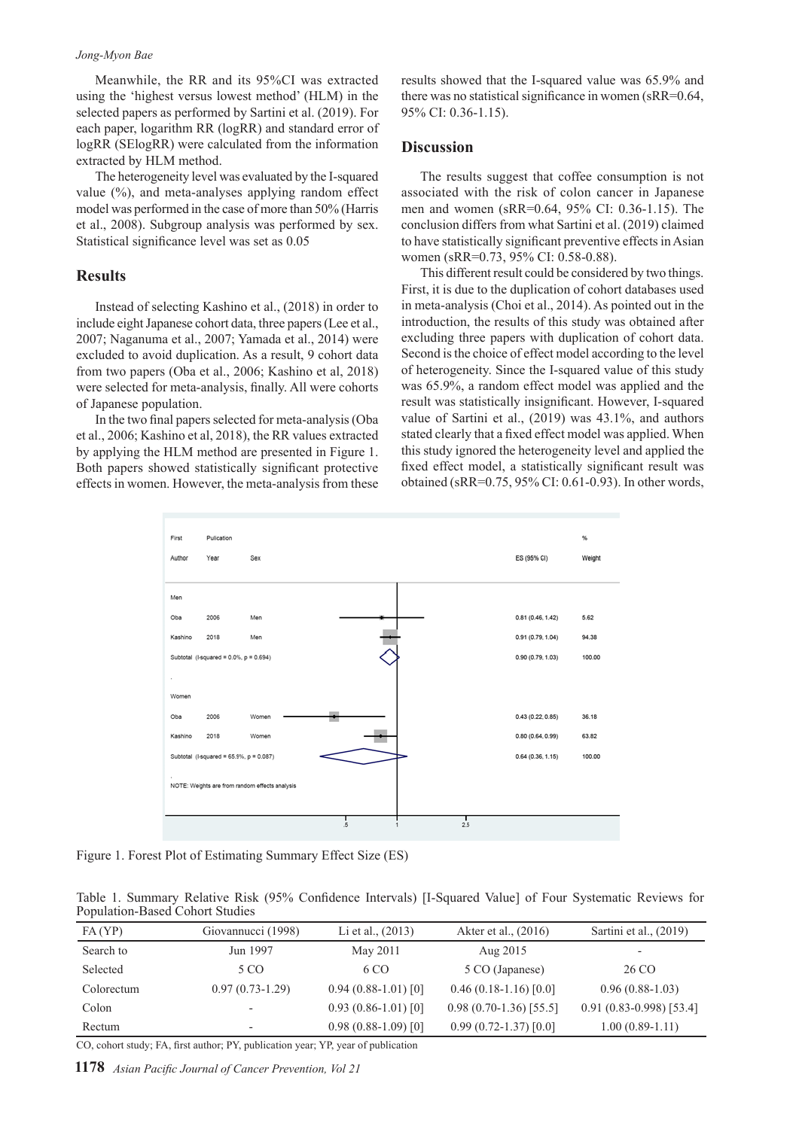#### *Jong-Myon Bae*

Meanwhile, the RR and its 95%CI was extracted using the 'highest versus lowest method' (HLM) in the selected papers as performed by Sartini et al. (2019). For each paper, logarithm RR (logRR) and standard error of logRR (SElogRR) were calculated from the information extracted by HLM method.

The heterogeneity level was evaluated by the I-squared value (%), and meta-analyses applying random effect model was performed in the case of more than 50% (Harris et al., 2008). Subgroup analysis was performed by sex. Statistical significance level was set as 0.05

#### **Results**

Instead of selecting Kashino et al., (2018) in order to include eight Japanese cohort data, three papers (Lee et al., 2007; Naganuma et al., 2007; Yamada et al., 2014) were excluded to avoid duplication. As a result, 9 cohort data from two papers (Oba et al., 2006; Kashino et al, 2018) were selected for meta-analysis, finally. All were cohorts of Japanese population.

In the two final papers selected for meta-analysis (Oba et al., 2006; Kashino et al, 2018), the RR values extracted by applying the HLM method are presented in Figure 1. Both papers showed statistically significant protective effects in women. However, the meta-analysis from these

results showed that the I-squared value was 65.9% and there was no statistical significance in women (sRR=0.64, 95% CI: 0.36-1.15).

#### **Discussion**

The results suggest that coffee consumption is not associated with the risk of colon cancer in Japanese men and women (sRR=0.64, 95% CI: 0.36-1.15). The conclusion differs from what Sartini et al. (2019) claimed to have statistically significant preventive effects in Asian women (sRR=0.73, 95% CI: 0.58-0.88).

This different result could be considered by two things. First, it is due to the duplication of cohort databases used in meta-analysis (Choi et al., 2014). As pointed out in the introduction, the results of this study was obtained after excluding three papers with duplication of cohort data. Second is the choice of effect model according to the level of heterogeneity. Since the I-squared value of this study was 65.9%, a random effect model was applied and the result was statistically insignificant. However, I-squared value of Sartini et al., (2019) was 43.1%, and authors stated clearly that a fixed effect model was applied. When this study ignored the heterogeneity level and applied the fixed effect model, a statistically significant result was obtained (sRR=0.75, 95% CI: 0.61-0.93). In other words,



Figure 1. Forest Plot of Estimating Summary Effect Size (ES)

Table 1. Summary Relative Risk (95% Confidence Intervals) [I-Squared Value] of Four Systematic Reviews for Population-Based Cohort Studies

| FA(YP)     | Giovannucci (1998)       | Li et al., $(2013)$  | Akter et al., (2016)     | Sartini et al., $(2019)$    |
|------------|--------------------------|----------------------|--------------------------|-----------------------------|
| Search to  | Jun 1997                 | May 2011             | Aug 2015                 | $\overline{\phantom{0}}$    |
| Selected   | 5 CO                     | 6 CO                 | 5 CO (Japanese)          | 26 CO                       |
| Colorectum | $0.97(0.73-1.29)$        | $0.94(0.88-1.01)[0]$ | $0.46(0.18-1.16)[0.0]$   | $0.96(0.88-1.03)$           |
| Colon      | $\overline{\phantom{0}}$ | $0.93(0.86-1.01)[0]$ | $0.98(0.70-1.36)[55.5]$  | $0.91(0.83 - 0.998)$ [53.4] |
| Rectum     | $\overline{\phantom{0}}$ | $0.98(0.88-1.09)[0]$ | $0.99(0.72 - 1.37)[0.0]$ | $1.00(0.89-1.11)$           |

CO, cohort study; FA, first author; PY, publication year; YP, year of publication

**1178** *Asian Pacific Journal of Cancer Prevention, Vol 21*